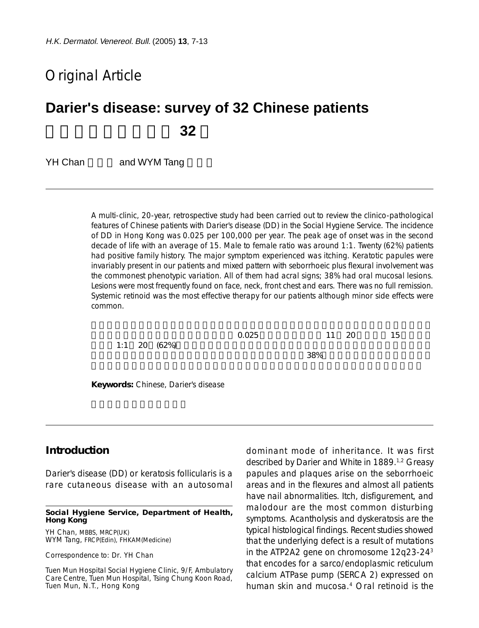# Original Article

# **Darier's disease: survey of 32 Chinese patients** 華人毛囊角化病研究 **32**

YH Chan and WYM Tang

A multi-clinic, 20-year, retrospective study had been carried out to review the clinico-pathological features of Chinese patients with Darier's disease (DD) in the Social Hygiene Service. The incidence of DD in Hong Kong was 0.025 per 100,000 per year. The peak age of onset was in the second decade of life with an average of 15. Male to female ratio was around 1:1. Twenty (62%) patients had positive family history. The major symptom experienced was itching. Keratotic papules were invariably present in our patients and mixed pattern with seborrhoeic plus flexural involvement was the commonest phenotypic variation. All of them had acral signs; 38% had oral mucosal lesions. Lesions were most frequently found on face, neck, front chest and ears. There was no full remission. Systemic retinoid was the most effective therapy for our patients although minor side effects were common.

|  | $1:1$ 20 (62%) | 0.025 |     | 11 20 | 15 |
|--|----------------|-------|-----|-------|----|
|  |                |       | 38% |       |    |
|  |                |       |     |       |    |

**Keywords:** Chinese, Darier's disease

## **Introduction**

Darier's disease (DD) or keratosis follicularis is a rare cutaneous disease with an autosomal

**Social Hygiene Service, Department of Health, Hong Kong**

YH Chan, MBBS, MRCP(UK) WYM Tang, FRCP(Edin), FHKAM(Medicine)

Correspondence to: Dr. YH Chan

Tuen Mun Hospital Social Hygiene Clinic, 9/F, Ambulatory Care Centre, Tuen Mun Hospital, Tsing Chung Koon Road, Tuen Mun, N.T., Hong Kong

dominant mode of inheritance. It was first described by Darier and White in 1889.<sup>1,2</sup> Greasy papules and plaques arise on the seborrhoeic areas and in the flexures and almost all patients have nail abnormalities. Itch, disfigurement, and malodour are the most common disturbing symptoms. Acantholysis and dyskeratosis are the typical histological findings. Recent studies showed that the underlying defect is a result of mutations in the ATP2A2 gene on chromosome 12q23-243 that encodes for a sarco/endoplasmic reticulum calcium ATPase pump (SERCA 2) expressed on human skin and mucosa.4 Oral retinoid is the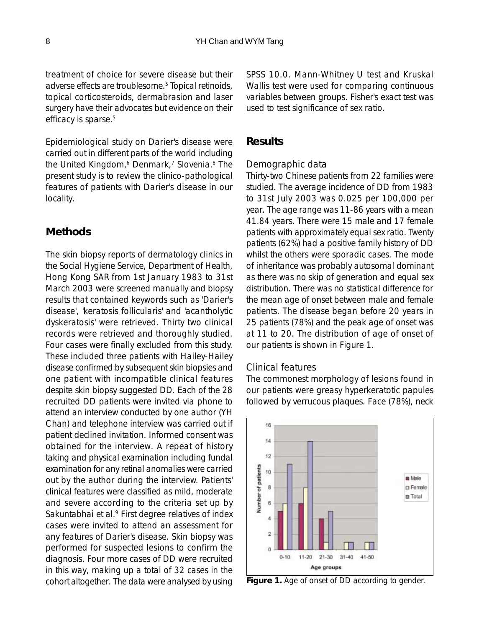treatment of choice for severe disease but their adverse effects are troublesome.5 Topical retinoids, topical corticosteroids, dermabrasion and laser surgery have their advocates but evidence on their efficacy is sparse.<sup>5</sup>

Epidemiological study on Darier's disease were carried out in different parts of the world including the United Kingdom,<sup>6</sup> Denmark,<sup>7</sup> Slovenia.<sup>8</sup> The present study is to review the clinico-pathological features of patients with Darier's disease in our locality.

# **Methods**

The skin biopsy reports of dermatology clinics in the Social Hygiene Service, Department of Health, Hong Kong SAR from 1st January 1983 to 31st March 2003 were screened manually and biopsy results that contained keywords such as 'Darier's disease', 'keratosis follicularis' and 'acantholytic dyskeratosis' were retrieved. Thirty two clinical records were retrieved and thoroughly studied. Four cases were finally excluded from this study. These included three patients with Hailey-Hailey disease confirmed by subsequent skin biopsies and one patient with incompatible clinical features despite skin biopsy suggested DD. Each of the 28 recruited DD patients were invited via phone to attend an interview conducted by one author (YH Chan) and telephone interview was carried out if patient declined invitation. Informed consent was obtained for the interview. A repeat of history taking and physical examination including fundal examination for any retinal anomalies were carried out by the author during the interview. Patients' clinical features were classified as mild, moderate and severe according to the criteria set up by Sakuntabhai et al.<sup>9</sup> First degree relatives of index cases were invited to attend an assessment for any features of Darier's disease. Skin biopsy was performed for suspected lesions to confirm the diagnosis. Four more cases of DD were recruited in this way, making up a total of 32 cases in the cohort altogether. The data were analysed by using SPSS 10.0. Mann-Whitney U test and Kruskal Wallis test were used for comparing continuous variables between groups. Fisher's exact test was used to test significance of sex ratio.

## **Results**

#### *Demographic data*

Thirty-two Chinese patients from 22 families were studied. The average incidence of DD from 1983 to 31st July 2003 was 0.025 per 100,000 per year. The age range was 11-86 years with a mean 41.84 years. There were 15 male and 17 female patients with approximately equal sex ratio. Twenty patients (62%) had a positive family history of DD whilst the others were sporadic cases. The mode of inheritance was probably autosomal dominant as there was no skip of generation and equal sex distribution. There was no statistical difference for the mean age of onset between male and female patients. The disease began before 20 years in 25 patients (78%) and the peak age of onset was at 11 to 20. The distribution of age of onset of our patients is shown in Figure 1.

#### *Clinical features*

The commonest morphology of lesions found in our patients were greasy hyperkeratotic papules followed by verrucous plaques. Face (78%), neck



**Figure 1.** Age of onset of DD according to gender.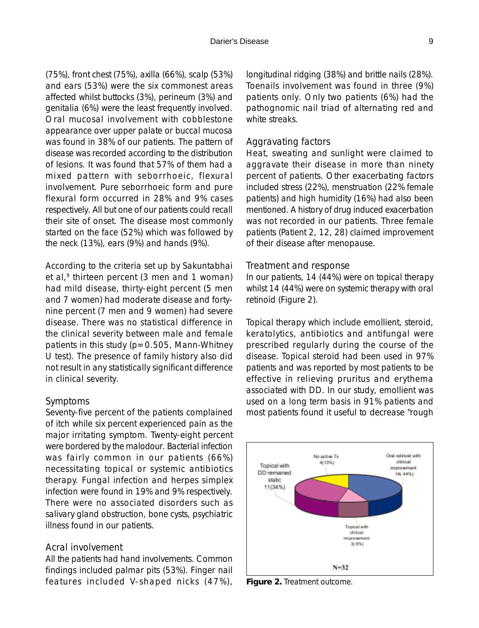(75%), front chest (75%), axilla (66%), scalp (53%) and ears (53%) were the six commonest areas affected whilst buttocks (3%), perineum (3%) and genitalia (6%) were the least frequently involved. Oral mucosal involvement with cobblestone appearance over upper palate or buccal mucosa was found in 38% of our patients. The pattern of disease was recorded according to the distribution of lesions. It was found that 57% of them had a mixed pattern with seborrhoeic, flexural involvement. Pure seborrhoeic form and pure flexural form occurred in 28% and 9% cases respectively. All but one of our patients could recall their site of onset. The disease most commonly started on the face (52%) which was followed by the neck (13%), ears (9%) and hands (9%).

According to the criteria set up by Sakuntabhai et al, $9$  thirteen percent (3 men and 1 woman) had mild disease, thirty-eight percent (5 men and 7 women) had moderate disease and fortynine percent (7 men and 9 women) had severe disease. There was no statistical difference in the clinical severity between male and female patients in this study ( $p=0.505$ , Mann-Whitney U test). The presence of family history also did not result in any statistically significant difference in clinical severity.

#### *Symptoms*

Seventy-five percent of the patients complained of itch while six percent experienced pain as the major irritating symptom. Twenty-eight percent were bordered by the malodour. Bacterial infection was fairly common in our patients (66%) necessitating topical or systemic antibiotics therapy. Fungal infection and herpes simplex infection were found in 19% and 9% respectively. There were no associated disorders such as salivary gland obstruction, bone cysts, psychiatric illness found in our patients.

#### *Acral involvement*

All the patients had hand involvements. Common findings included palmar pits (53%). Finger nail features included V-shaped nicks (47%),

longitudinal ridging (38%) and brittle nails (28%). Toenails involvement was found in three (9%) patients only. Only two patients (6%) had the pathognomic nail triad of alternating red and white streaks.

#### *Aggravating factors*

Heat, sweating and sunlight were claimed to aggravate their disease in more than ninety percent of patients. Other exacerbating factors included stress (22%), menstruation (22% female patients) and high humidity (16%) had also been mentioned. A history of drug induced exacerbation was not recorded in our patients. Three female patients (Patient 2, 12, 28) claimed improvement of their disease after menopause.

#### *Treatment and response*

In our patients, 14 (44%) were on topical therapy whilst 14 (44%) were on systemic therapy with oral retinoid (Figure 2).

Topical therapy which include emollient, steroid, keratolytics, antibiotics and antifungal were prescribed regularly during the course of the disease. Topical steroid had been used in 97% patients and was reported by most patients to be effective in relieving pruritus and erythema associated with DD. In our study, emollient was used on a long term basis in 91% patients and most patients found it useful to decrease "rough



**Figure 2.** Treatment outcome.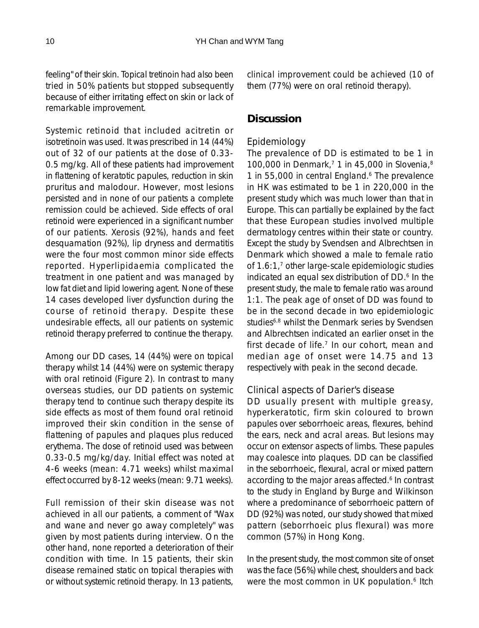feeling" of their skin. Topical tretinoin had also been tried in 50% patients but stopped subsequently because of either irritating effect on skin or lack of remarkable improvement.

Systemic retinoid that included acitretin or isotretinoin was used. It was prescribed in 14 (44%) out of 32 of our patients at the dose of 0.33- 0.5 mg/kg. All of these patients had improvement in flattening of keratotic papules, reduction in skin pruritus and malodour. However, most lesions persisted and in none of our patients a complete remission could be achieved. Side effects of oral retinoid were experienced in a significant number of our patients. Xerosis (92%), hands and feet desquamation (92%), lip dryness and dermatitis were the four most common minor side effects reported. Hyperlipidaemia complicated the treatment in one patient and was managed by low fat diet and lipid lowering agent. None of these 14 cases developed liver dysfunction during the course of retinoid therapy. Despite these undesirable effects, all our patients on systemic retinoid therapy preferred to continue the therapy.

Among our DD cases, 14 (44%) were on topical therapy whilst 14 (44%) were on systemic therapy with oral retinoid (Figure 2). In contrast to many overseas studies, our DD patients on systemic therapy tend to continue such therapy despite its side effects as most of them found oral retinoid improved their skin condition in the sense of flattening of papules and plaques plus reduced erythema. The dose of retinoid used was between 0.33-0.5 mg/kg/day. Initial effect was noted at 4-6 weeks (mean: 4.71 weeks) whilst maximal effect occurred by 8-12 weeks (mean: 9.71 weeks).

Full remission of their skin disease was not achieved in all our patients, a comment of "Wax and wane and never go away completely" was given by most patients during interview. On the other hand, none reported a deterioration of their condition with time. In 15 patients, their skin disease remained static on topical therapies with or without systemic retinoid therapy. In 13 patients,

clinical improvement could be achieved (10 of them (77%) were on oral retinoid therapy).

# **Discussion**

#### *Epidemiology*

The prevalence of DD is estimated to be 1 in 100,000 in Denmark,<sup>7</sup> 1 in 45,000 in Slovenia, $8$ 1 in 55,000 in central England.<sup>6</sup> The prevalence in HK was estimated to be 1 in 220,000 in the present study which was much lower than that in Europe. This can partially be explained by the fact that these European studies involved multiple dermatology centres within their state or country. Except the study by Svendsen and Albrechtsen in Denmark which showed a male to female ratio of  $1.6:1<sup>7</sup>$  other large-scale epidemiologic studies indicated an equal sex distribution of DD.<sup>6</sup> In the present study, the male to female ratio was around 1:1. The peak age of onset of DD was found to be in the second decade in two epidemiologic studies<sup>6,8</sup> whilst the Denmark series by Svendsen and Albrechtsen indicated an earlier onset in the first decade of life.<sup>7</sup> In our cohort, mean and median age of onset were 14.75 and 13 respectively with peak in the second decade.

#### *Clinical aspects of Darier's disease*

DD usually present with multiple greasy, hyperkeratotic, firm skin coloured to brown papules over seborrhoeic areas, flexures, behind the ears, neck and acral areas. But lesions may occur on extensor aspects of limbs. These papules may coalesce into plaques. DD can be classified in the seborrhoeic, flexural, acral or mixed pattern according to the major areas affected.<sup>6</sup> In contrast to the study in England by Burge and Wilkinson where a predominance of seborrhoeic pattern of DD (92%) was noted, our study showed that mixed pattern (seborrhoeic plus flexural) was more common (57%) in Hong Kong.

In the present study, the most common site of onset was the face (56%) while chest, shoulders and back were the most common in UK population.<sup>6</sup> Itch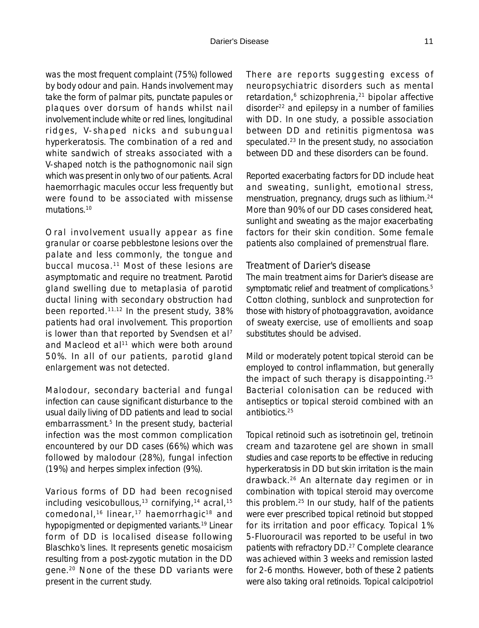was the most frequent complaint (75%) followed by body odour and pain. Hands involvement may take the form of palmar pits, punctate papules or plaques over dorsum of hands whilst nail involvement include white or red lines, longitudinal ridges, V-shaped nicks and subungual hyperkeratosis. The combination of a red and white sandwich of streaks associated with a V-shaped notch is the pathognomonic nail sign which was present in only two of our patients. Acral haemorrhagic macules occur less frequently but were found to be associated with missense mutations.<sup>10</sup>

Oral involvement usually appear as fine granular or coarse pebblestone lesions over the palate and less commonly, the tongue and buccal mucosa.11 Most of these lesions are asymptomatic and require no treatment. Parotid gland swelling due to metaplasia of parotid ductal lining with secondary obstruction had been reported.11,12 In the present study, 38% patients had oral involvement. This proportion is lower than that reported by Svendsen et al<sup>7</sup> and Macleod et al<sup>11</sup> which were both around 50%. In all of our patients, parotid gland enlargement was not detected.

Malodour, secondary bacterial and fungal infection can cause significant disturbance to the usual daily living of DD patients and lead to social embarrassment.<sup>5</sup> In the present study, bacterial infection was the most common complication encountered by our DD cases (66%) which was followed by malodour (28%), fungal infection (19%) and herpes simplex infection (9%).

Various forms of DD had been recognised including vesicobullous,<sup>13</sup> cornifying,<sup>14</sup> acral,<sup>15</sup> comedonal,<sup>16</sup> linear,<sup>17</sup> haemorrhagic<sup>18</sup> and hypopigmented or depigmented variants.19 Linear form of DD is localised disease following Blaschko's lines. It represents genetic mosaicism resulting from a post-zygotic mutation in the DD gene.20 None of the these DD variants were present in the current study.

There are reports suggesting excess of neuropsychiatric disorders such as mental retardation,<sup>6</sup> schizophrenia,<sup>21</sup> bipolar affective disorder<sup>22</sup> and epilepsy in a number of families with DD. In one study, a possible association between DD and retinitis pigmentosa was speculated.23 In the present study, no association between DD and these disorders can be found.

Reported exacerbating factors for DD include heat and sweating, sunlight, emotional stress, menstruation, pregnancy, drugs such as lithium.<sup>24</sup> More than 90% of our DD cases considered heat, sunlight and sweating as the major exacerbating factors for their skin condition. Some female patients also complained of premenstrual flare.

#### *Treatment of Darier's disease*

The main treatment aims for Darier's disease are symptomatic relief and treatment of complications.<sup>5</sup> Cotton clothing, sunblock and sunprotection for those with history of photoaggravation, avoidance of sweaty exercise, use of emollients and soap substitutes should be advised.

Mild or moderately potent topical steroid can be employed to control inflammation, but generally the impact of such therapy is disappointing.25 Bacterial colonisation can be reduced with antiseptics or topical steroid combined with an antibiotics.25

Topical retinoid such as isotretinoin gel, tretinoin cream and tazarotene gel are shown in small studies and case reports to be effective in reducing hyperkeratosis in DD but skin irritation is the main drawback.26 An alternate day regimen or in combination with topical steroid may overcome this problem.25 In our study, half of the patients were ever prescribed topical retinoid but stopped for its irritation and poor efficacy. Topical 1% 5-Fluorouracil was reported to be useful in two patients with refractory DD.27 Complete clearance was achieved within 3 weeks and remission lasted for 2-6 months. However, both of these 2 patients were also taking oral retinoids. Topical calcipotriol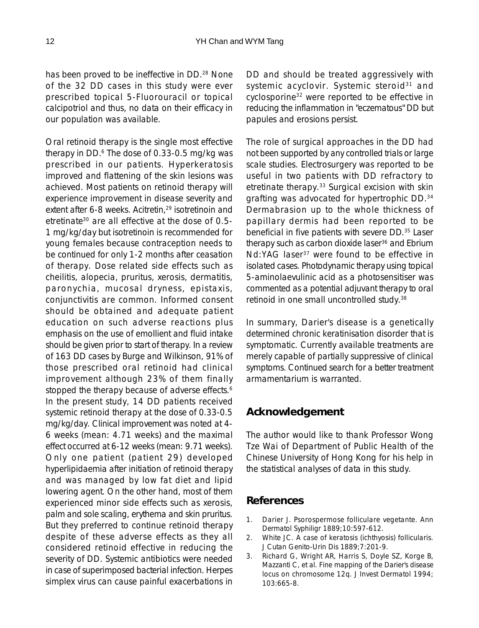has been proved to be ineffective in DD.<sup>28</sup> None of the 32 DD cases in this study were ever prescribed topical 5-Fluorouracil or topical calcipotriol and thus, no data on their efficacy in our population was available.

Oral retinoid therapy is the single most effective therapy in DD.6 The dose of 0.33-0.5 mg/kg was prescribed in our patients. Hyperkeratosis improved and flattening of the skin lesions was achieved. Most patients on retinoid therapy will experience improvement in disease severity and extent after 6-8 weeks. Acitretin,<sup>29</sup> isotretinoin and etretinate30 are all effective at the dose of 0.5- 1 mg/kg/day but isotretinoin is recommended for young females because contraception needs to be continued for only 1-2 months after ceasation of therapy. Dose related side effects such as cheilitis, alopecia, pruritus, xerosis, dermatitis, paronychia, mucosal dryness, epistaxis, conjunctivitis are common. Informed consent should be obtained and adequate patient education on such adverse reactions plus emphasis on the use of emollient and fluid intake should be given prior to start of therapy. In a review of 163 DD cases by Burge and Wilkinson, 91% of those prescribed oral retinoid had clinical improvement although 23% of them finally stopped the therapy because of adverse effects.<sup>6</sup> In the present study, 14 DD patients received systemic retinoid therapy at the dose of 0.33-0.5 mg/kg/day. Clinical improvement was noted at 4- 6 weeks (mean: 4.71 weeks) and the maximal effect occurred at 6-12 weeks (mean: 9.71 weeks). Only one patient (patient 29) developed hyperlipidaemia after initiation of retinoid therapy and was managed by low fat diet and lipid lowering agent. On the other hand, most of them experienced minor side effects such as xerosis, palm and sole scaling, erythema and skin pruritus. But they preferred to continue retinoid therapy despite of these adverse effects as they all considered retinoid effective in reducing the severity of DD. Systemic antibiotics were needed in case of superimposed bacterial infection. Herpes simplex virus can cause painful exacerbations in DD and should be treated aggressively with systemic acyclovir. Systemic steroid<sup>31</sup> and cyclosporine32 were reported to be effective in reducing the inflammation in "eczematous" DD but papules and erosions persist.

The role of surgical approaches in the DD had not been supported by any controlled trials or large scale studies. Electrosurgery was reported to be useful in two patients with DD refractory to etretinate therapy.33 Surgical excision with skin grafting was advocated for hypertrophic DD.34 Dermabrasion up to the whole thickness of papillary dermis had been reported to be beneficial in five patients with severe DD.<sup>35</sup> Laser therapy such as carbon dioxide laser<sup>36</sup> and Ebrium Nd:YAG laser<sup>37</sup> were found to be effective in isolated cases. Photodynamic therapy using topical 5-aminolaevulinic acid as a photosensitiser was commented as a potential adjuvant therapy to oral retinoid in one small uncontrolled study.38

In summary, Darier's disease is a genetically determined chronic keratinisation disorder that is symptomatic. Currently available treatments are merely capable of partially suppressive of clinical symptoms. Continued search for a better treatment armamentarium is warranted.

# **Acknowledgement**

The author would like to thank Professor Wong Tze Wai of Department of Public Health of the Chinese University of Hong Kong for his help in the statistical analyses of data in this study.

# **References**

- 1. Darier J. Psorospermose folliculare vegetante. Ann Dermatol Syphiligr 1889;10:597-612.
- 2. White JC. A case of keratosis (ichthyosis) follicularis. J Cutan Genito-Urin Dis 1889;7:201-9.
- 3. Richard G, Wright AR, Harris S, Doyle SZ, Korge B, Mazzanti C, et al. Fine mapping of the Darier's disease locus on chromosome 12q. J Invest Dermatol 1994; 103:665-8.